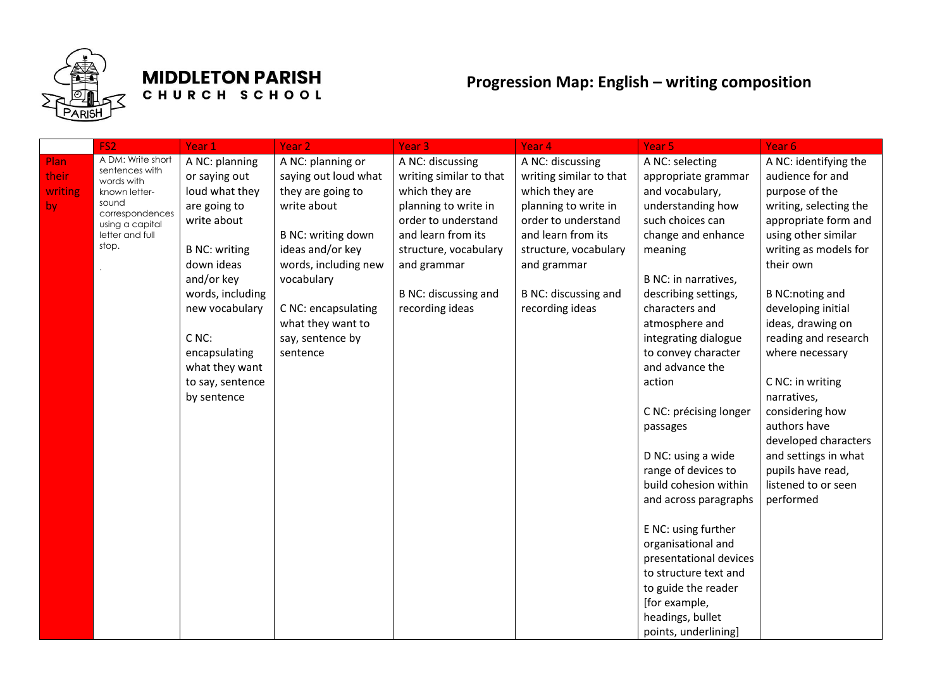

## **MIDDLETON PARISH** CHURCH SCHOOL

## **Progression Map: English – writing composition**

| A NC: identifying the  |
|------------------------|
| audience for and       |
| purpose of the         |
| writing, selecting the |
| appropriate form and   |
| using other similar    |
| writing as models for  |
|                        |
|                        |
| <b>B NC:noting and</b> |
| developing initial     |
| ideas, drawing on      |
| reading and research   |
| where necessary        |
|                        |
| C NC: in writing       |
|                        |
| considering how        |
| authors have           |
| developed characters   |
| and settings in what   |
| pupils have read,      |
| listened to or seen    |
|                        |
|                        |
|                        |
|                        |
|                        |
|                        |
|                        |
|                        |
|                        |
|                        |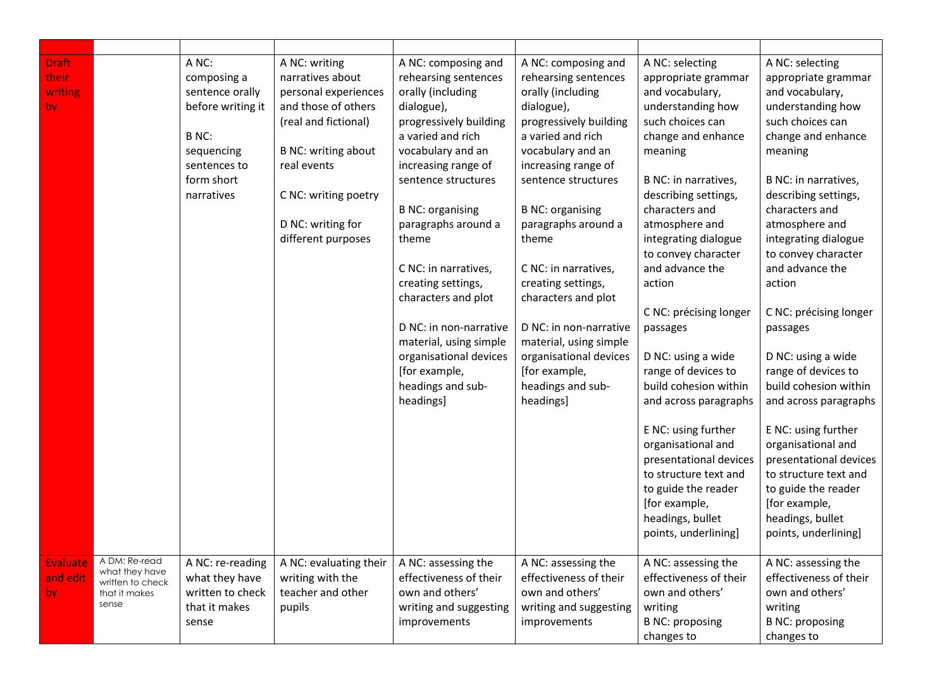| <b>Draft</b><br>their<br>writing<br>by |                                                                               | A NC:<br>composing a<br>sentence orally<br>before writing it<br>B NC:<br>sequencing<br>sentences to<br>form short<br>narratives | A NC: writing<br>narratives about<br>personal experiences<br>and those of others<br>(real and fictional)<br><b>B NC: writing about</b><br>real events<br>C NC: writing poetry<br>D NC: writing for<br>different purposes | A NC: composing and<br>rehearsing sentences<br>orally (including<br>dialogue),<br>progressively building<br>a varied and rich<br>vocabulary and an<br>increasing range of<br>sentence structures<br><b>B NC: organising</b><br>paragraphs around a<br>theme<br>C NC: in narratives,<br>creating settings,<br>characters and plot<br>D NC: in non-narrative<br>material, using simple<br>organisational devices<br>[for example,<br>headings and sub-<br>headings] | A NC: composing and<br>rehearsing sentences<br>orally (including<br>dialogue),<br>progressively building<br>a varied and rich<br>vocabulary and an<br>increasing range of<br>sentence structures<br><b>B NC: organising</b><br>paragraphs around a<br>theme<br>C NC: in narratives,<br>creating settings,<br>characters and plot<br>D NC: in non-narrative<br>material, using simple<br>organisational devices<br>[for example,<br>headings and sub-<br>headings] | A NC: selecting<br>appropriate grammar<br>and vocabulary,<br>understanding how<br>such choices can<br>change and enhance<br>meaning<br>B NC: in narratives,<br>describing settings,<br>characters and<br>atmosphere and<br>integrating dialogue<br>to convey character<br>and advance the<br>action<br>C NC: précising longer<br>passages<br>D NC: using a wide<br>range of devices to<br>build cohesion within<br>and across paragraphs<br>E NC: using further<br>organisational and<br>presentational devices<br>to structure text and<br>to guide the reader<br>[for example,<br>headings, bullet | A NC: selecting<br>appropriate grammar<br>and vocabulary,<br>understanding how<br>such choices can<br>change and enhance<br>meaning<br>B NC: in narratives,<br>describing settings,<br>characters and<br>atmosphere and<br>integrating dialogue<br>to convey character<br>and advance the<br>action<br>C NC: précising longer<br>passages<br>D NC: using a wide<br>range of devices to<br>build cohesion within<br>and across paragraphs<br>E NC: using further<br>organisational and<br>presentational devices<br>to structure text and<br>to guide the reader<br>[for example,<br>headings, bullet |
|----------------------------------------|-------------------------------------------------------------------------------|---------------------------------------------------------------------------------------------------------------------------------|--------------------------------------------------------------------------------------------------------------------------------------------------------------------------------------------------------------------------|-------------------------------------------------------------------------------------------------------------------------------------------------------------------------------------------------------------------------------------------------------------------------------------------------------------------------------------------------------------------------------------------------------------------------------------------------------------------|-------------------------------------------------------------------------------------------------------------------------------------------------------------------------------------------------------------------------------------------------------------------------------------------------------------------------------------------------------------------------------------------------------------------------------------------------------------------|------------------------------------------------------------------------------------------------------------------------------------------------------------------------------------------------------------------------------------------------------------------------------------------------------------------------------------------------------------------------------------------------------------------------------------------------------------------------------------------------------------------------------------------------------------------------------------------------------|------------------------------------------------------------------------------------------------------------------------------------------------------------------------------------------------------------------------------------------------------------------------------------------------------------------------------------------------------------------------------------------------------------------------------------------------------------------------------------------------------------------------------------------------------------------------------------------------------|
|                                        |                                                                               |                                                                                                                                 |                                                                                                                                                                                                                          |                                                                                                                                                                                                                                                                                                                                                                                                                                                                   |                                                                                                                                                                                                                                                                                                                                                                                                                                                                   | points, underlining]                                                                                                                                                                                                                                                                                                                                                                                                                                                                                                                                                                                 | points, underlining]                                                                                                                                                                                                                                                                                                                                                                                                                                                                                                                                                                                 |
| <b>Evaluate</b><br>and edit<br>by.     | A DM: Re-read<br>what they have<br>written to check<br>that it makes<br>sense | A NC: re-reading<br>what they have<br>written to check<br>that it makes<br>sense                                                | A NC: evaluating their<br>writing with the<br>teacher and other<br>pupils                                                                                                                                                | A NC: assessing the<br>effectiveness of their<br>own and others'<br>writing and suggesting<br>improvements                                                                                                                                                                                                                                                                                                                                                        | A NC: assessing the<br>effectiveness of their<br>own and others'<br>writing and suggesting<br>improvements                                                                                                                                                                                                                                                                                                                                                        | A NC: assessing the<br>effectiveness of their<br>own and others'<br>writing<br><b>B NC: proposing</b><br>changes to                                                                                                                                                                                                                                                                                                                                                                                                                                                                                  | A NC: assessing the<br>effectiveness of their<br>own and others'<br>writing<br><b>B NC: proposing</b><br>changes to                                                                                                                                                                                                                                                                                                                                                                                                                                                                                  |